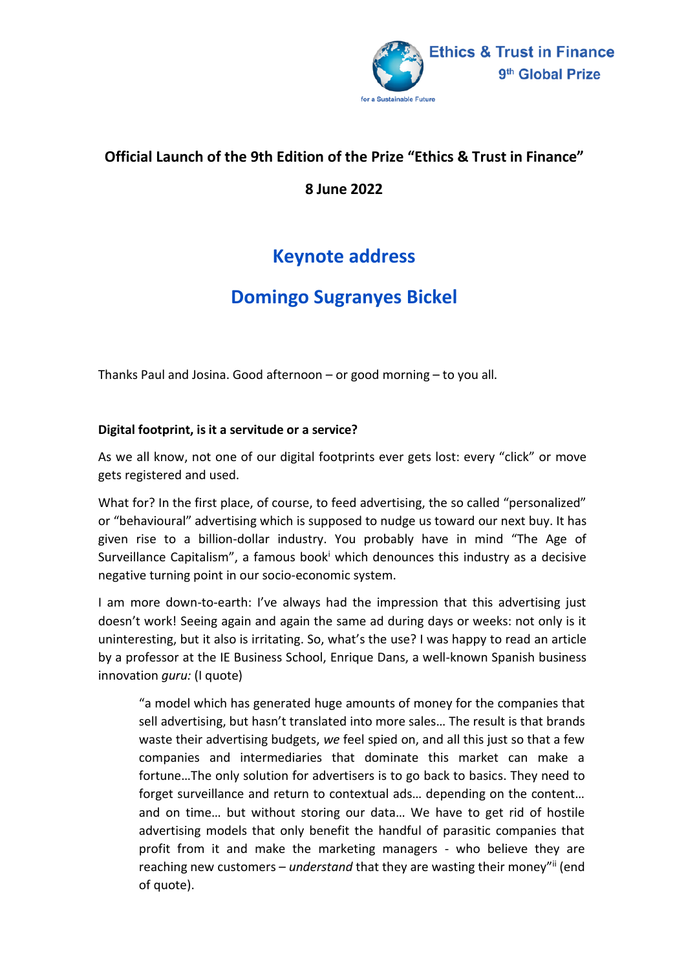

## **Official Launch of the 9th Edition of the Prize "Ethics & Trust in Finance"**

**8 June 2022**

## **Keynote address**

## **Domingo Sugranyes Bickel**

Thanks Paul and Josina. Good afternoon – or good morning – to you all.

## **Digital footprint, is it a servitude or a service?**

As we all know, not one of our digital footprints ever gets lost: every "click" or move gets registered and used.

What for? In the first place, of course, to feed advertising, the so called "personalized" or "behavioural" advertising which is supposed to nudge us toward our next buy. It has given rise to a billion-dollar industry. You probably have in mind "The Age of Surveillance Capitalism", a famous book which denounces this industry as a decisive negative turning point in our socio-economic system.

I am more down-to-earth: I've always had the impression that this advertising just doesn't work! Seeing again and again the same ad during days or weeks: not only is it uninteresting, but it also is irritating. So, what's the use? I was happy to read an article by a professor at the IE Business School, Enrique Dans, a well-known Spanish business innovation *guru:* (I quote)

"a model which has generated huge amounts of money for the companies that sell advertising, but hasn't translated into more sales… The result is that brands waste their advertising budgets, *we* feel spied on, and all this just so that a few companies and intermediaries that dominate this market can make a fortune…The only solution for advertisers is to go back to basics. They need to forget surveillance and return to contextual ads… depending on the content… and on time… but without storing our data… We have to get rid of hostile advertising models that only benefit the handful of parasitic companies that profit from it and make the marketing managers - who believe they are reaching new customers – *understand* that they are wasting their money"ii (end of quote).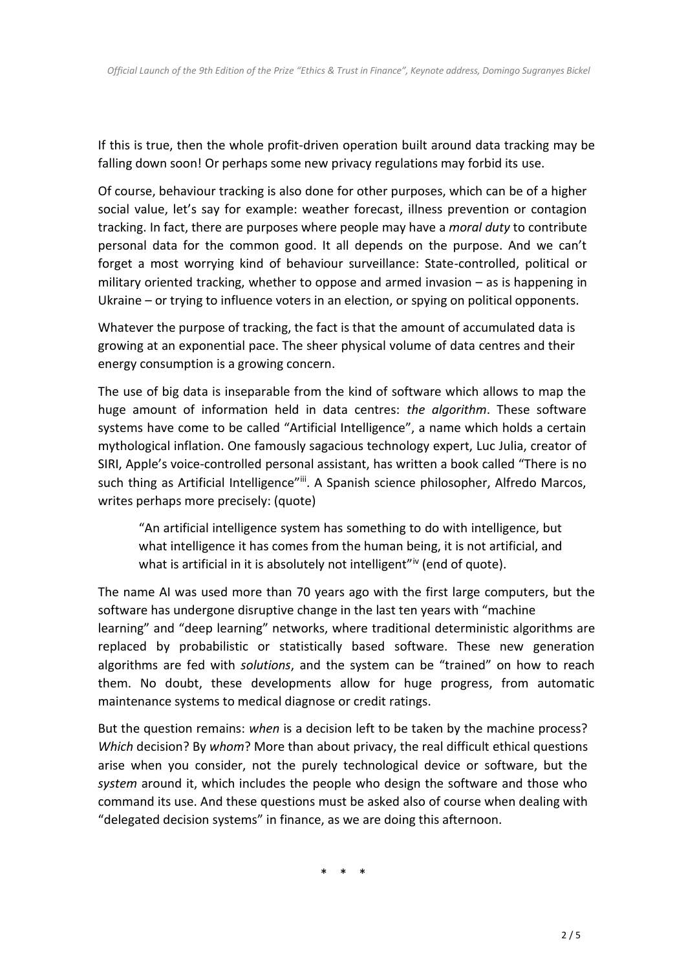If this is true, then the whole profit-driven operation built around data tracking may be falling down soon! Or perhaps some new privacy regulations may forbid its use.

Of course, behaviour tracking is also done for other purposes, which can be of a higher social value, let's say for example: weather forecast, illness prevention or contagion tracking. In fact, there are purposes where people may have a *moral duty* to contribute personal data for the common good. It all depends on the purpose. And we can't forget a most worrying kind of behaviour surveillance: State-controlled, political or military oriented tracking, whether to oppose and armed invasion – as is happening in Ukraine – or trying to influence voters in an election, or spying on political opponents.

Whatever the purpose of tracking, the fact is that the amount of accumulated data is growing at an exponential pace. The sheer physical volume of data centres and their energy consumption is a growing concern.

The use of big data is inseparable from the kind of software which allows to map the huge amount of information held in data centres: *the algorithm*. These software systems have come to be called "Artificial Intelligence", a name which holds a certain mythological inflation. One famously sagacious technology expert, Luc Julia, creator of SIRI, Apple's voice-controlled personal assistant, has written a book called "There is no such thing as Artificial Intelligence"iii. A Spanish science philosopher, Alfredo Marcos, writes perhaps more precisely: (quote)

"An artificial intelligence system has something to do with intelligence, but what intelligence it has comes from the human being, it is not artificial, and what is artificial in it is absolutely not intelligent"iv (end of quote).

The name AI was used more than 70 years ago with the first large computers, but the software has undergone disruptive change in the last ten years with "machine learning" and "deep learning" networks, where traditional deterministic algorithms are replaced by probabilistic or statistically based software. These new generation algorithms are fed with *solutions*, and the system can be "trained" on how to reach them. No doubt, these developments allow for huge progress, from automatic maintenance systems to medical diagnose or credit ratings.

But the question remains: *when* is a decision left to be taken by the machine process? *Which* decision? By *whom*? More than about privacy, the real difficult ethical questions arise when you consider, not the purely technological device or software, but the *system* around it, which includes the people who design the software and those who command its use. And these questions must be asked also of course when dealing with "delegated decision systems" in finance, as we are doing this afternoon.

\* \* \*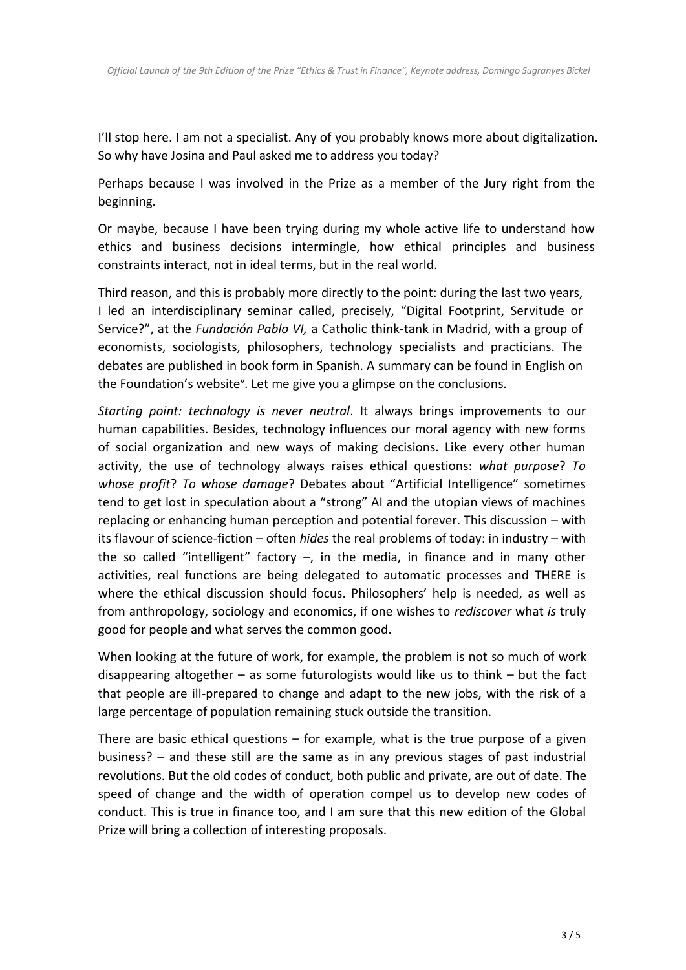I'll stop here. I am not a specialist. Any of you probably knows more about digitalization. So why have Josina and Paul asked me to address you today?

Perhaps because I was involved in the Prize as a member of the Jury right from the beginning.

Or maybe, because I have been trying during my whole active life to understand how ethics and business decisions intermingle, how ethical principles and business constraints interact, not in ideal terms, but in the real world.

Third reason, and this is probably more directly to the point: during the last two years, I led an interdisciplinary seminar called, precisely, "Digital Footprint, Servitude or Service?", at the *Fundación Pablo VI,* a Catholic think-tank in Madrid, with a group of economists, sociologists, philosophers, technology specialists and practicians. The debates are published in book form in Spanish. A summary can be found in English on the Foundation's website<sup>v</sup>. Let me give you a glimpse on the conclusions.

*Starting point: technology is never neutral*. It always brings improvements to our human capabilities. Besides, technology influences our moral agency with new forms of social organization and new ways of making decisions. Like every other human activity, the use of technology always raises ethical questions: *what purpose*? *To whose profit*? *To whose damage*? Debates about "Artificial Intelligence" sometimes tend to get lost in speculation about a "strong" AI and the utopian views of machines replacing or enhancing human perception and potential forever. This discussion – with its flavour of science-fiction – often *hides* the real problems of today: in industry – with the so called "intelligent" factory  $-$ , in the media, in finance and in many other activities, real functions are being delegated to automatic processes and THERE is where the ethical discussion should focus. Philosophers' help is needed, as well as from anthropology, sociology and economics, if one wishes to *rediscover* what *is* truly good for people and what serves the common good.

When looking at the future of work, for example, the problem is not so much of work disappearing altogether – as some futurologists would like us to think – but the fact that people are ill-prepared to change and adapt to the new jobs, with the risk of a large percentage of population remaining stuck outside the transition.

There are basic ethical questions  $-$  for example, what is the true purpose of a given business? – and these still are the same as in any previous stages of past industrial revolutions. But the old codes of conduct, both public and private, are out of date. The speed of change and the width of operation compel us to develop new codes of conduct. This is true in finance too, and I am sure that this new edition of the Global Prize will bring a collection of interesting proposals.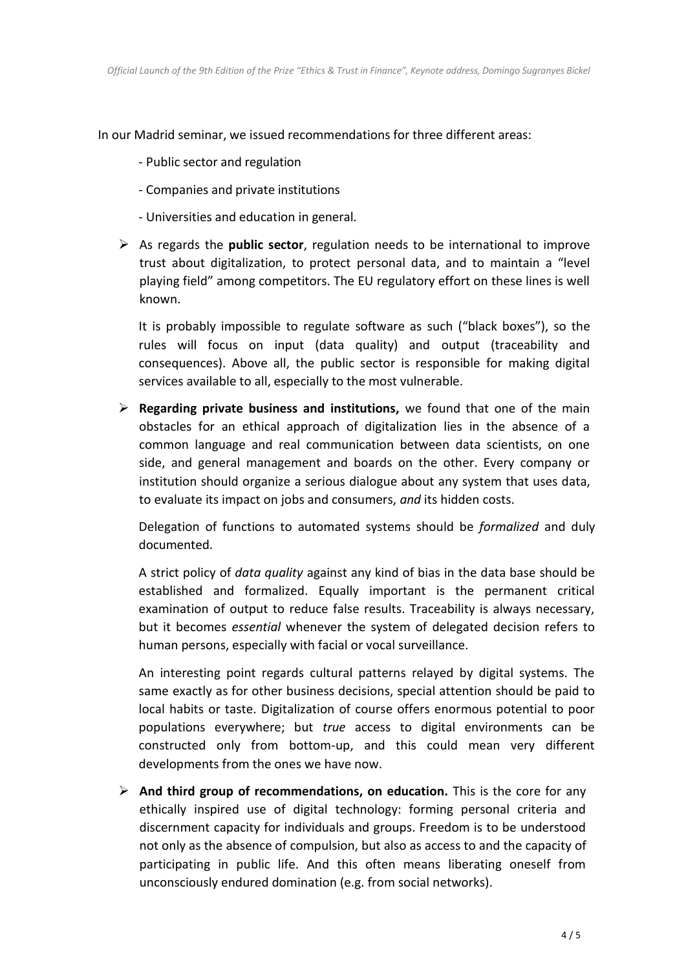In our Madrid seminar, we issued recommendations for three different areas:

- Public sector and regulation
- Companies and private institutions
- Universities and education in general.
- ➢ As regards the **public sector**, regulation needs to be international to improve trust about digitalization, to protect personal data, and to maintain a "level playing field" among competitors. The EU regulatory effort on these lines is well known.

It is probably impossible to regulate software as such ("black boxes"), so the rules will focus on input (data quality) and output (traceability and consequences). Above all, the public sector is responsible for making digital services available to all, especially to the most vulnerable.

➢ **Regarding private business and institutions,** we found that one of the main obstacles for an ethical approach of digitalization lies in the absence of a common language and real communication between data scientists, on one side, and general management and boards on the other. Every company or institution should organize a serious dialogue about any system that uses data, to evaluate its impact on jobs and consumers, *and* its hidden costs.

Delegation of functions to automated systems should be *formalized* and duly documented.

A strict policy of *data quality* against any kind of bias in the data base should be established and formalized. Equally important is the permanent critical examination of output to reduce false results. Traceability is always necessary, but it becomes *essential* whenever the system of delegated decision refers to human persons, especially with facial or vocal surveillance.

An interesting point regards cultural patterns relayed by digital systems. The same exactly as for other business decisions, special attention should be paid to local habits or taste. Digitalization of course offers enormous potential to poor populations everywhere; but *true* access to digital environments can be constructed only from bottom-up, and this could mean very different developments from the ones we have now.

➢ **And third group of recommendations, on education.** This is the core for any ethically inspired use of digital technology: forming personal criteria and discernment capacity for individuals and groups. Freedom is to be understood not only as the absence of compulsion, but also as access to and the capacity of participating in public life. And this often means liberating oneself from unconsciously endured domination (e.g. from social networks).